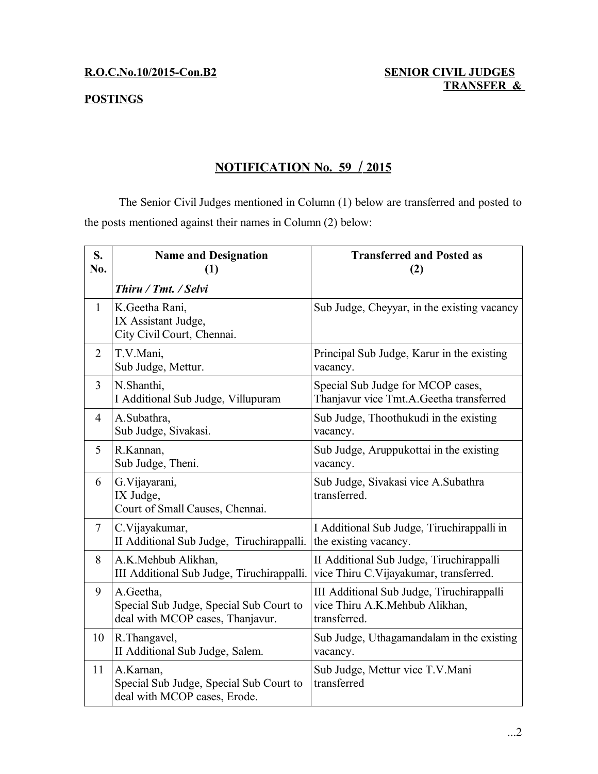### **POSTINGS**

## **R.O.C.No.10/2015-Con.B2 SENIOR CIVIL JUDGES TRANSFER &**

# **NOTIFICATION No. 59 / 2015**

The Senior Civil Judges mentioned in Column (1) below are transferred and posted to the posts mentioned against their names in Column (2) below:

| S.<br>No.      | <b>Name and Designation</b><br>(1)                                                       | <b>Transferred and Posted as</b><br>(2)                                                     |
|----------------|------------------------------------------------------------------------------------------|---------------------------------------------------------------------------------------------|
|                | Thiru / Tmt. / Selvi                                                                     |                                                                                             |
| $\mathbf{1}$   | K.Geetha Rani,<br>IX Assistant Judge,<br>City Civil Court, Chennai.                      | Sub Judge, Cheyyar, in the existing vacancy                                                 |
| $\overline{2}$ | T.V.Mani,<br>Sub Judge, Mettur.                                                          | Principal Sub Judge, Karur in the existing<br>vacancy.                                      |
| 3              | N.Shanthi,<br>I Additional Sub Judge, Villupuram                                         | Special Sub Judge for MCOP cases,<br>Thanjavur vice Tmt.A.Geetha transferred                |
| $\overline{4}$ | A.Subathra,<br>Sub Judge, Sivakasi.                                                      | Sub Judge, Thoothukudi in the existing<br>vacancy.                                          |
| 5              | R.Kannan,<br>Sub Judge, Theni.                                                           | Sub Judge, Aruppukottai in the existing<br>vacancy.                                         |
| 6              | G. Vijayarani,<br>IX Judge,<br>Court of Small Causes, Chennai.                           | Sub Judge, Sivakasi vice A.Subathra<br>transferred.                                         |
| $\tau$         | C.Vijayakumar,<br>II Additional Sub Judge, Tiruchirappalli.                              | I Additional Sub Judge, Tiruchirappalli in<br>the existing vacancy.                         |
| 8              | A.K.Mehbub Alikhan,<br>III Additional Sub Judge, Tiruchirappalli.                        | II Additional Sub Judge, Tiruchirappalli<br>vice Thiru C. Vijayakumar, transferred.         |
| 9              | A.Geetha,<br>Special Sub Judge, Special Sub Court to<br>deal with MCOP cases, Thanjavur. | III Additional Sub Judge, Tiruchirappalli<br>vice Thiru A.K.Mehbub Alikhan,<br>transferred. |
| 10             | R. Thangavel,<br>II Additional Sub Judge, Salem.                                         | Sub Judge, Uthagamandalam in the existing<br>vacancy.                                       |
| 11             | A.Karnan,<br>Special Sub Judge, Special Sub Court to<br>deal with MCOP cases, Erode.     | Sub Judge, Mettur vice T.V.Mani<br>transferred                                              |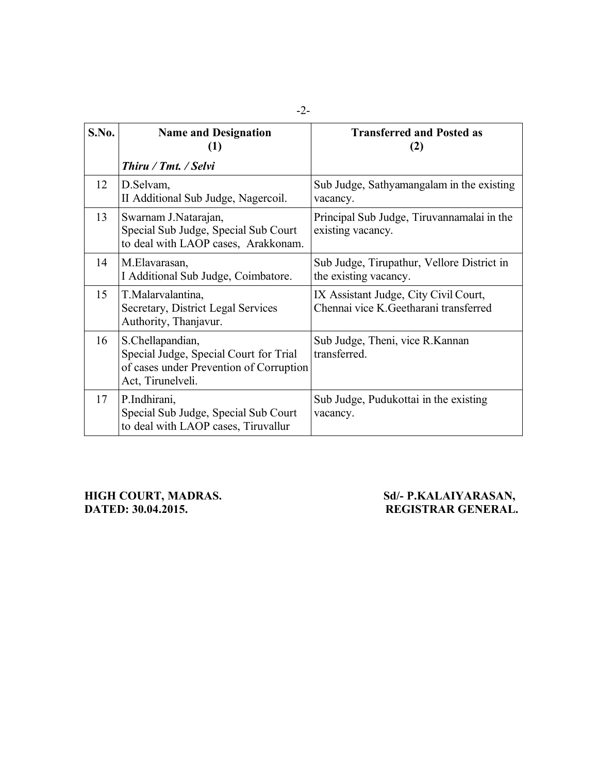| S.No. | <b>Name and Designation</b><br>$\left(1\right)$                                                                            | <b>Transferred and Posted as</b><br>(2)                                         |
|-------|----------------------------------------------------------------------------------------------------------------------------|---------------------------------------------------------------------------------|
|       | Thiru / Tmt. / Selvi                                                                                                       |                                                                                 |
| 12    | D.Selvam,<br>II Additional Sub Judge, Nagercoil.                                                                           | Sub Judge, Sathyamangalam in the existing<br>vacancy.                           |
| 13    | Swarnam J.Natarajan,<br>Special Sub Judge, Special Sub Court<br>to deal with LAOP cases, Arakkonam.                        | Principal Sub Judge, Tiruvannamalai in the<br>existing vacancy.                 |
| 14    | M.Elavarasan,<br>I Additional Sub Judge, Coimbatore.                                                                       | Sub Judge, Tirupathur, Vellore District in<br>the existing vacancy.             |
| 15    | T.Malarvalantina,<br>Secretary, District Legal Services<br>Authority, Thanjavur.                                           | IX Assistant Judge, City Civil Court,<br>Chennai vice K. Geetharani transferred |
| 16    | S.Chellapandian,<br>Special Judge, Special Court for Trial<br>of cases under Prevention of Corruption<br>Act, Tirunelveli. | Sub Judge, Theni, vice R.Kannan<br>transferred.                                 |
| 17    | P.Indhirani,<br>Special Sub Judge, Special Sub Court<br>to deal with LAOP cases, Tiruvallur                                | Sub Judge, Pudukottai in the existing<br>vacancy.                               |

**HIGH COURT, MADRAS. Sd/- P.KALAIYARASAN, DATED: 30.04.2015. REGISTRAR GENERAL.**